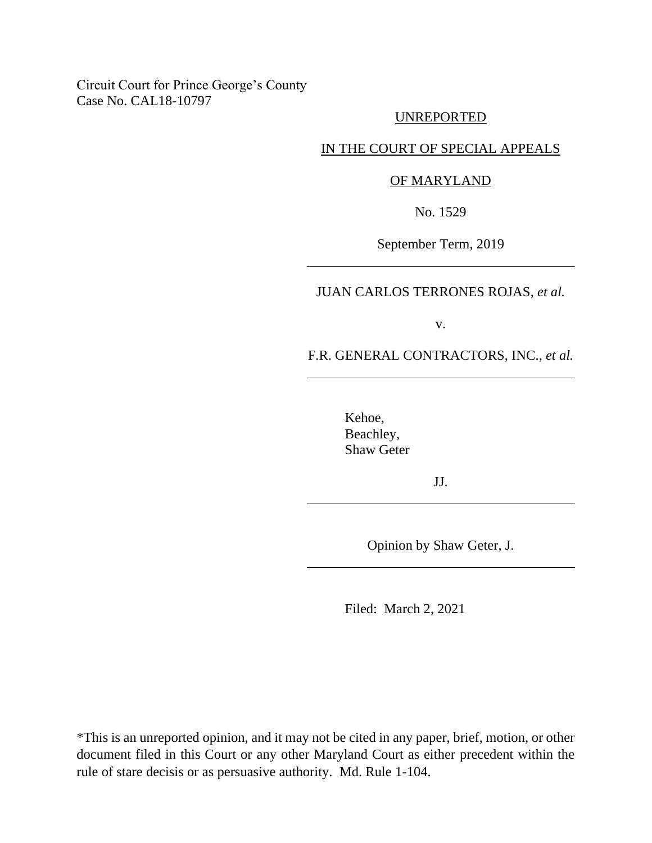## Circuit Court for Prince George's County Case No. CAL18-10797

## UNREPORTED

### IN THE COURT OF SPECIAL APPEALS

### OF MARYLAND

No. 1529

September Term, 2019

JUAN CARLOS TERRONES ROJAS, *et al.*

v.

F.R. GENERAL CONTRACTORS, INC., *et al.*

Kehoe, Beachley, Shaw Geter

JJ.

Opinion by Shaw Geter, J.

Filed: March 2, 2021

\*This is an unreported opinion, and it may not be cited in any paper, brief, motion, or other document filed in this Court or any other Maryland Court as either precedent within the rule of stare decisis or as persuasive authority. Md. Rule 1-104.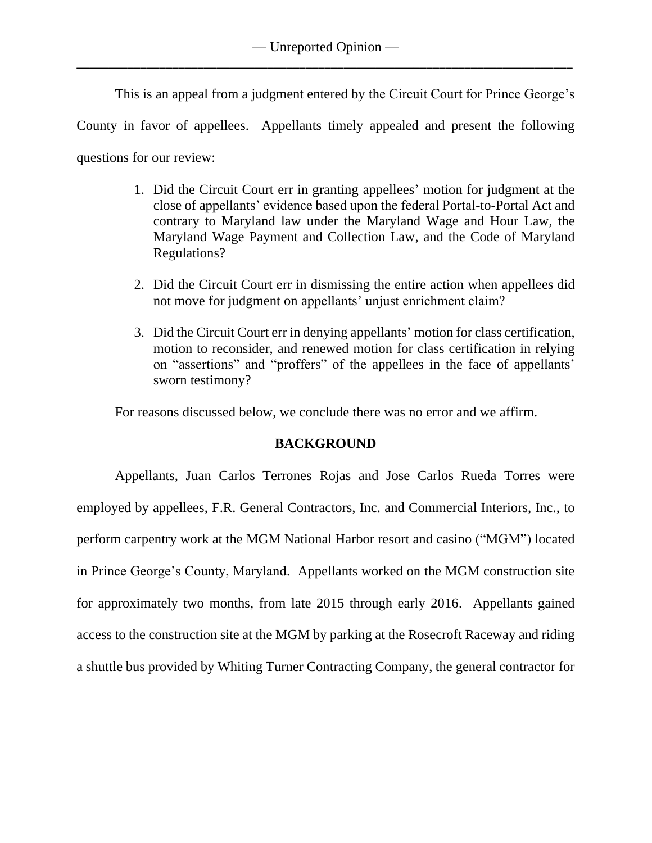This is an appeal from a judgment entered by the Circuit Court for Prince George's County in favor of appellees. Appellants timely appealed and present the following questions for our review:

- 1. Did the Circuit Court err in granting appellees' motion for judgment at the close of appellants' evidence based upon the federal Portal-to-Portal Act and contrary to Maryland law under the Maryland Wage and Hour Law, the Maryland Wage Payment and Collection Law, and the Code of Maryland Regulations?
- 2. Did the Circuit Court err in dismissing the entire action when appellees did not move for judgment on appellants' unjust enrichment claim?
- 3. Did the Circuit Court err in denying appellants' motion for class certification, motion to reconsider, and renewed motion for class certification in relying on "assertions" and "proffers" of the appellees in the face of appellants' sworn testimony?

For reasons discussed below, we conclude there was no error and we affirm.

## **BACKGROUND**

Appellants, Juan Carlos Terrones Rojas and Jose Carlos Rueda Torres were employed by appellees, F.R. General Contractors, Inc. and Commercial Interiors, Inc., to perform carpentry work at the MGM National Harbor resort and casino ("MGM") located in Prince George's County, Maryland. Appellants worked on the MGM construction site for approximately two months, from late 2015 through early 2016. Appellants gained access to the construction site at the MGM by parking at the Rosecroft Raceway and riding a shuttle bus provided by Whiting Turner Contracting Company, the general contractor for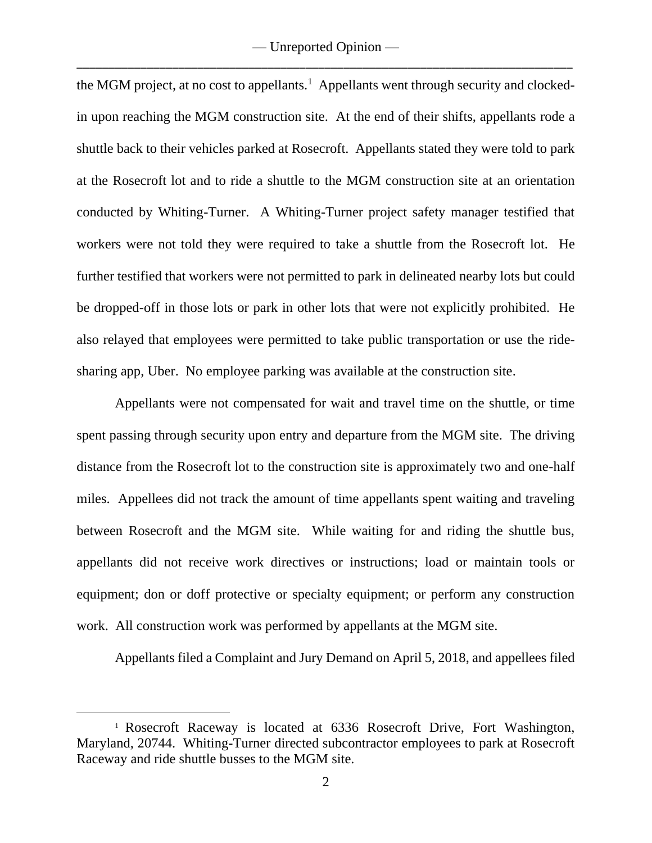— Unreported Opinion — \_\_\_\_\_\_\_\_\_\_\_\_\_\_\_\_\_\_\_\_\_\_\_\_\_\_\_\_\_\_\_\_\_\_\_\_\_\_\_\_\_\_\_\_\_\_\_\_\_\_\_\_\_\_\_\_\_\_\_\_\_\_\_\_\_\_\_\_\_\_\_\_\_\_\_\_\_\_

the MGM project, at no cost to appellants.<sup>1</sup> Appellants went through security and clockedin upon reaching the MGM construction site. At the end of their shifts, appellants rode a shuttle back to their vehicles parked at Rosecroft. Appellants stated they were told to park at the Rosecroft lot and to ride a shuttle to the MGM construction site at an orientation conducted by Whiting-Turner. A Whiting-Turner project safety manager testified that workers were not told they were required to take a shuttle from the Rosecroft lot. He further testified that workers were not permitted to park in delineated nearby lots but could be dropped-off in those lots or park in other lots that were not explicitly prohibited. He also relayed that employees were permitted to take public transportation or use the ridesharing app, Uber. No employee parking was available at the construction site.

Appellants were not compensated for wait and travel time on the shuttle, or time spent passing through security upon entry and departure from the MGM site. The driving distance from the Rosecroft lot to the construction site is approximately two and one-half miles. Appellees did not track the amount of time appellants spent waiting and traveling between Rosecroft and the MGM site. While waiting for and riding the shuttle bus, appellants did not receive work directives or instructions; load or maintain tools or equipment; don or doff protective or specialty equipment; or perform any construction work. All construction work was performed by appellants at the MGM site.

Appellants filed a Complaint and Jury Demand on April 5, 2018, and appellees filed

<sup>1</sup> Rosecroft Raceway is located at 6336 Rosecroft Drive, Fort Washington, Maryland, 20744. Whiting-Turner directed subcontractor employees to park at Rosecroft Raceway and ride shuttle busses to the MGM site.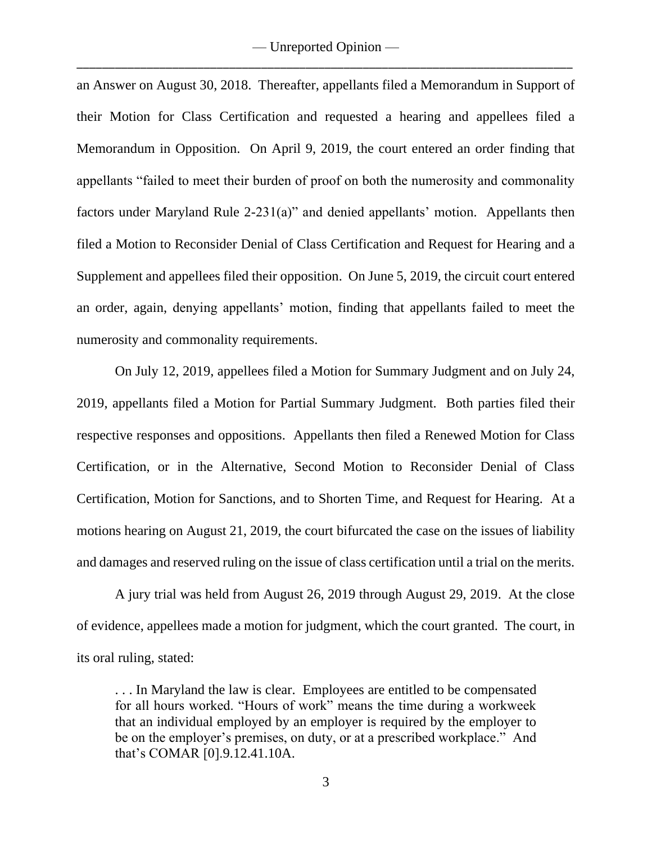— Unreported Opinion — \_\_\_\_\_\_\_\_\_\_\_\_\_\_\_\_\_\_\_\_\_\_\_\_\_\_\_\_\_\_\_\_\_\_\_\_\_\_\_\_\_\_\_\_\_\_\_\_\_\_\_\_\_\_\_\_\_\_\_\_\_\_\_\_\_\_\_\_\_\_\_\_\_\_\_\_\_\_

an Answer on August 30, 2018. Thereafter, appellants filed a Memorandum in Support of their Motion for Class Certification and requested a hearing and appellees filed a Memorandum in Opposition. On April 9, 2019, the court entered an order finding that appellants "failed to meet their burden of proof on both the numerosity and commonality factors under Maryland Rule 2-231(a)" and denied appellants' motion. Appellants then filed a Motion to Reconsider Denial of Class Certification and Request for Hearing and a Supplement and appellees filed their opposition. On June 5, 2019, the circuit court entered an order, again, denying appellants' motion, finding that appellants failed to meet the numerosity and commonality requirements.

On July 12, 2019, appellees filed a Motion for Summary Judgment and on July 24, 2019, appellants filed a Motion for Partial Summary Judgment. Both parties filed their respective responses and oppositions. Appellants then filed a Renewed Motion for Class Certification, or in the Alternative, Second Motion to Reconsider Denial of Class Certification, Motion for Sanctions, and to Shorten Time, and Request for Hearing. At a motions hearing on August 21, 2019, the court bifurcated the case on the issues of liability and damages and reserved ruling on the issue of class certification until a trial on the merits.

A jury trial was held from August 26, 2019 through August 29, 2019. At the close of evidence, appellees made a motion for judgment, which the court granted. The court, in its oral ruling, stated:

. . . In Maryland the law is clear. Employees are entitled to be compensated for all hours worked. "Hours of work" means the time during a workweek that an individual employed by an employer is required by the employer to be on the employer's premises, on duty, or at a prescribed workplace." And that's COMAR [0].9.12.41.10A.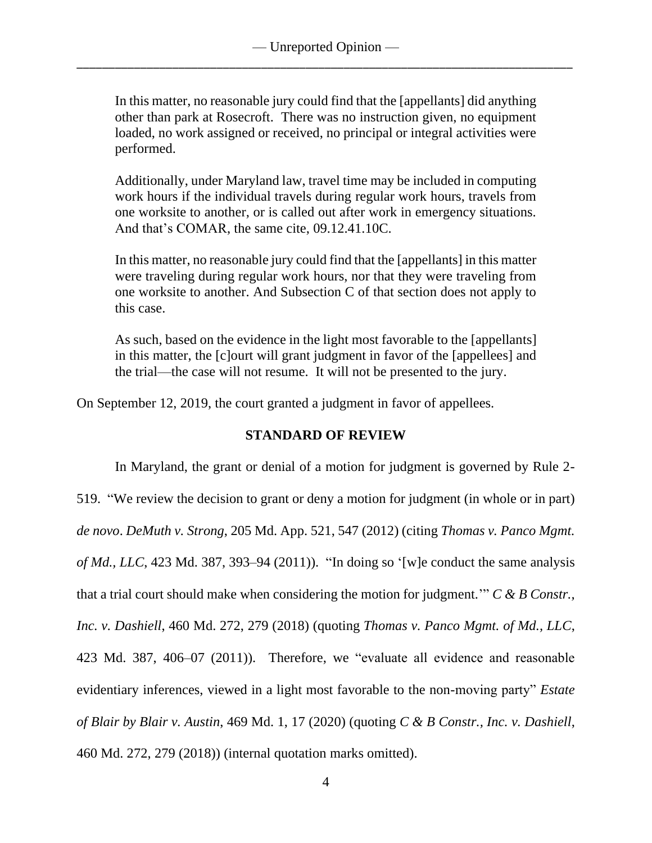In this matter, no reasonable jury could find that the [appellants] did anything other than park at Rosecroft. There was no instruction given, no equipment loaded, no work assigned or received, no principal or integral activities were performed.

Additionally, under Maryland law, travel time may be included in computing work hours if the individual travels during regular work hours, travels from one worksite to another, or is called out after work in emergency situations. And that's COMAR, the same cite, 09.12.41.10C.

In this matter, no reasonable jury could find that the [appellants] in this matter were traveling during regular work hours, nor that they were traveling from one worksite to another. And Subsection C of that section does not apply to this case.

As such, based on the evidence in the light most favorable to the [appellants] in this matter, the [c]ourt will grant judgment in favor of the [appellees] and the trial—the case will not resume. It will not be presented to the jury.

On September 12, 2019, the court granted a judgment in favor of appellees.

## **STANDARD OF REVIEW**

In Maryland, the grant or denial of a motion for judgment is governed by Rule 2- 519. "We review the decision to grant or deny a motion for judgment (in whole or in part) *de novo*. *DeMuth v. Strong*, 205 Md. App. 521, 547 (2012) (citing *Thomas v. Panco Mgmt. of Md., LLC*, 423 Md. 387, 393–94 (2011)). "In doing so '[w]e conduct the same analysis that a trial court should make when considering the motion for judgment.'" *C & B Constr., Inc. v. Dashiell*, 460 Md. 272, 279 (2018) (quoting *Thomas v. Panco Mgmt. of Md., LLC*, 423 Md. 387, 406–07 (2011)). Therefore, we "evaluate all evidence and reasonable evidentiary inferences, viewed in a light most favorable to the non-moving party" *Estate of Blair by Blair v. Austin*, 469 Md. 1, 17 (2020) (quoting *C & B Constr., Inc. v. Dashiell*, 460 Md. 272, 279 (2018)) (internal quotation marks omitted).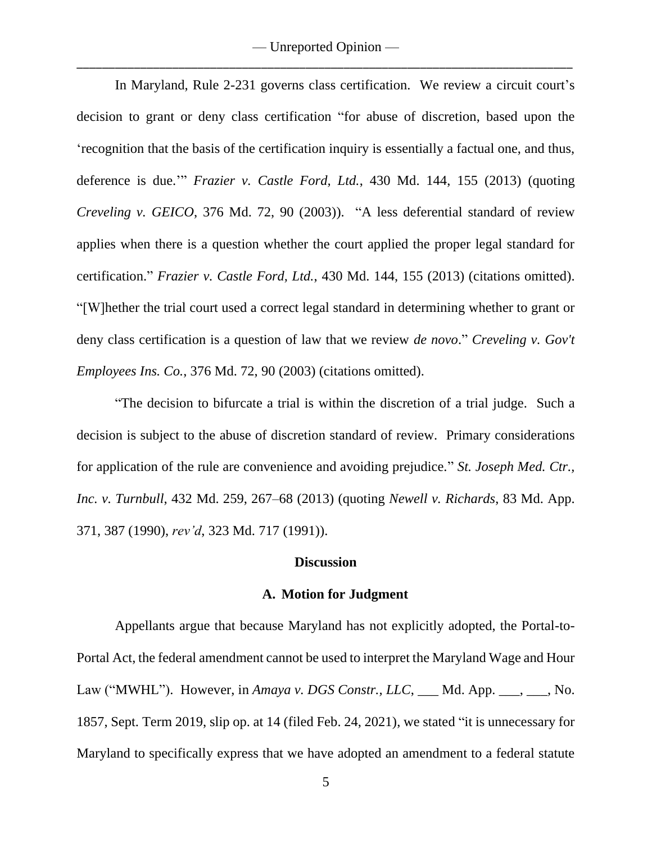— Unreported Opinion — \_\_\_\_\_\_\_\_\_\_\_\_\_\_\_\_\_\_\_\_\_\_\_\_\_\_\_\_\_\_\_\_\_\_\_\_\_\_\_\_\_\_\_\_\_\_\_\_\_\_\_\_\_\_\_\_\_\_\_\_\_\_\_\_\_\_\_\_\_\_\_\_\_\_\_\_\_\_

In Maryland, Rule 2-231 governs class certification. We review a circuit court's decision to grant or deny class certification "for abuse of discretion, based upon the 'recognition that the basis of the certification inquiry is essentially a factual one, and thus, deference is due.'" *Frazier v. Castle Ford, Ltd.*, 430 Md. 144, 155 (2013) (quoting *Creveling v. GEICO*, 376 Md. 72, 90 (2003)). "A less deferential standard of review applies when there is a question whether the court applied the proper legal standard for certification." *Frazier v. Castle Ford, Ltd.*, 430 Md. 144, 155 (2013) (citations omitted). "[W]hether the trial court used a correct legal standard in determining whether to grant or deny class certification is a question of law that we review *de novo*." *Creveling v. Gov't Employees Ins. Co.*, 376 Md. 72, 90 (2003) (citations omitted).

"The decision to bifurcate a trial is within the discretion of a trial judge. Such a decision is subject to the abuse of discretion standard of review. Primary considerations for application of the rule are convenience and avoiding prejudice." *St. Joseph Med. Ctr., Inc. v. Turnbull*, 432 Md. 259, 267–68 (2013) (quoting *Newell v. Richards*, 83 Md. App. 371, 387 (1990), *rev'd*, 323 Md. 717 (1991)).

#### **Discussion**

#### **A. Motion for Judgment**

Appellants argue that because Maryland has not explicitly adopted, the Portal-to-Portal Act, the federal amendment cannot be used to interpret the Maryland Wage and Hour Law ("MWHL"). However, in *Amaya v. DGS Constr., LLC*, \_\_\_ Md. App. \_\_\_, \_\_, No. 1857, Sept. Term 2019, slip op. at 14 (filed Feb. 24, 2021), we stated "it is unnecessary for Maryland to specifically express that we have adopted an amendment to a federal statute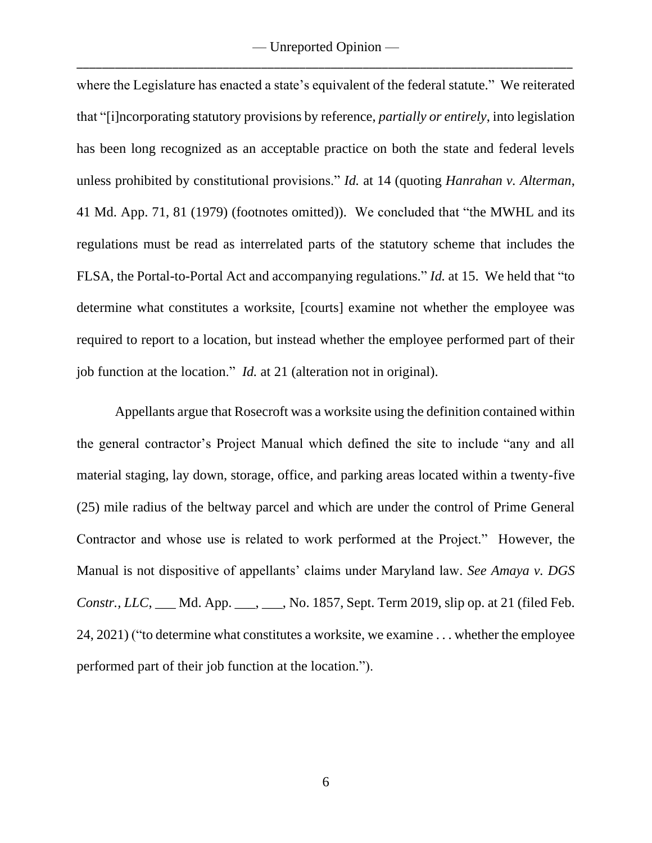where the Legislature has enacted a state's equivalent of the federal statute." We reiterated that "[i]ncorporating statutory provisions by reference, *partially or entirely*, into legislation has been long recognized as an acceptable practice on both the state and federal levels unless prohibited by constitutional provisions." *Id.* at 14 (quoting *Hanrahan v. Alterman*, 41 Md. App. 71, 81 (1979) (footnotes omitted)). We concluded that "the MWHL and its regulations must be read as interrelated parts of the statutory scheme that includes the FLSA, the Portal-to-Portal Act and accompanying regulations." *Id.* at 15. We held that "to determine what constitutes a worksite, [courts] examine not whether the employee was required to report to a location, but instead whether the employee performed part of their job function at the location." *Id.* at 21 (alteration not in original).

Appellants argue that Rosecroft was a worksite using the definition contained within the general contractor's Project Manual which defined the site to include "any and all material staging, lay down, storage, office, and parking areas located within a twenty-five (25) mile radius of the beltway parcel and which are under the control of Prime General Contractor and whose use is related to work performed at the Project." However, the Manual is not dispositive of appellants' claims under Maryland law. *See Amaya v. DGS Constr., LLC*, Md. App. \_\_\_, \_\_\_, No. 1857, Sept. Term 2019, slip op. at 21 (filed Feb. 24, 2021) ("to determine what constitutes a worksite, we examine . . . whether the employee performed part of their job function at the location.").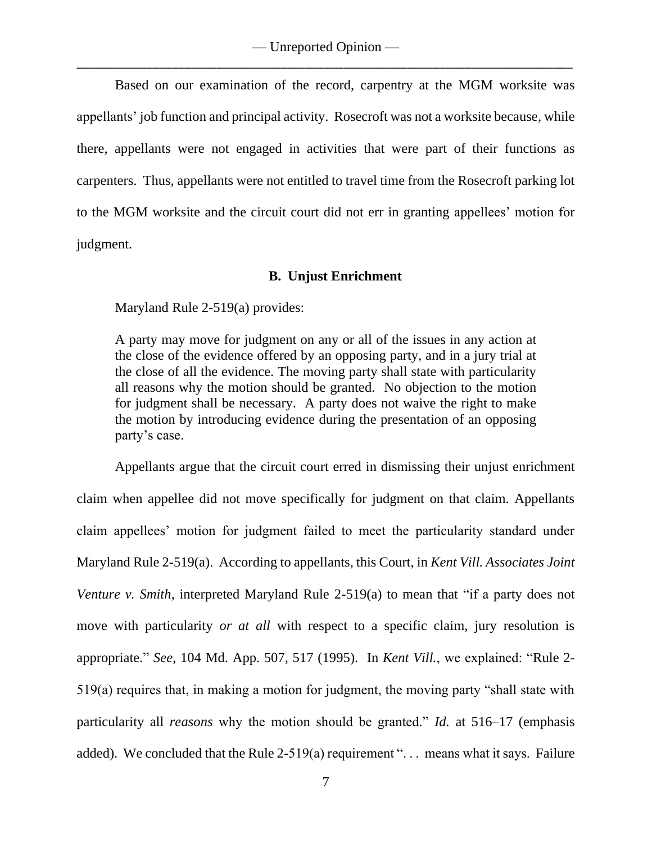Based on our examination of the record, carpentry at the MGM worksite was appellants' job function and principal activity. Rosecroft was not a worksite because, while there, appellants were not engaged in activities that were part of their functions as carpenters. Thus, appellants were not entitled to travel time from the Rosecroft parking lot to the MGM worksite and the circuit court did not err in granting appellees' motion for judgment.

## **B. Unjust Enrichment**

Maryland Rule 2-519(a) provides:

A party may move for judgment on any or all of the issues in any action at the close of the evidence offered by an opposing party, and in a jury trial at the close of all the evidence. The moving party shall state with particularity all reasons why the motion should be granted. No objection to the motion for judgment shall be necessary. A party does not waive the right to make the motion by introducing evidence during the presentation of an opposing party's case.

Appellants argue that the circuit court erred in dismissing their unjust enrichment claim when appellee did not move specifically for judgment on that claim. Appellants claim appellees' motion for judgment failed to meet the particularity standard under Maryland Rule 2-519(a). According to appellants, this Court, in *Kent Vill. Associates Joint Venture v. Smith*, interpreted Maryland Rule 2-519(a) to mean that "if a party does not move with particularity *or at all* with respect to a specific claim, jury resolution is appropriate." *See*, 104 Md. App. 507, 517 (1995). In *Kent Vill.*, we explained: "Rule 2- 519(a) requires that, in making a motion for judgment, the moving party "shall state with particularity all *reasons* why the motion should be granted." *Id.* at 516–17 (emphasis added). We concluded that the Rule 2-519(a) requirement "... means what it says. Failure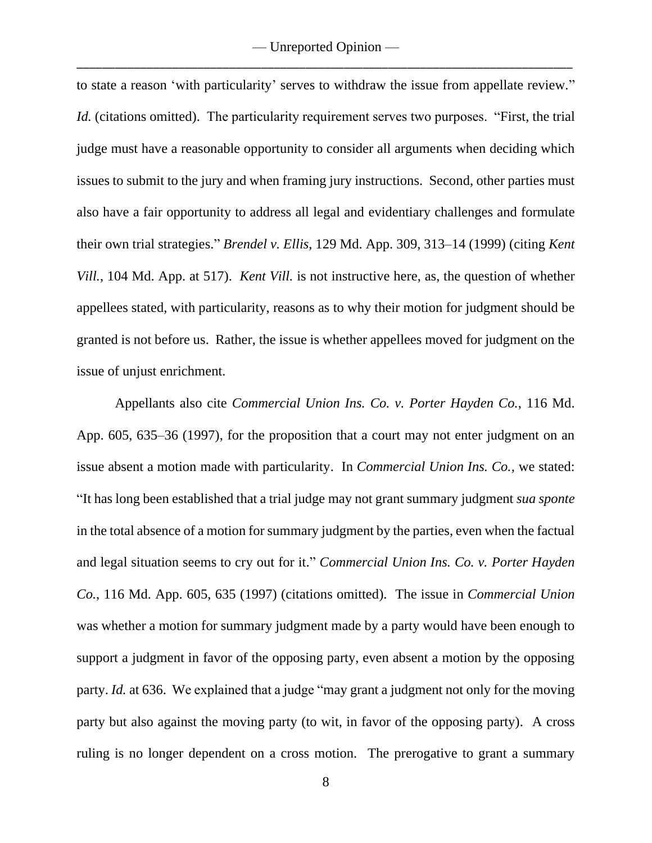to state a reason 'with particularity' serves to withdraw the issue from appellate review." *Id.* (citations omitted). The particularity requirement serves two purposes. "First, the trial judge must have a reasonable opportunity to consider all arguments when deciding which issues to submit to the jury and when framing jury instructions. Second, other parties must also have a fair opportunity to address all legal and evidentiary challenges and formulate their own trial strategies." *Brendel v. Ellis*, 129 Md. App. 309, 313–14 (1999) (citing *Kent Vill.*, 104 Md. App. at 517). *Kent Vill.* is not instructive here, as, the question of whether appellees stated, with particularity, reasons as to why their motion for judgment should be granted is not before us. Rather, the issue is whether appellees moved for judgment on the issue of unjust enrichment.

Appellants also cite *Commercial Union Ins. Co. v. Porter Hayden Co.*, 116 Md. App. 605, 635–36 (1997), for the proposition that a court may not enter judgment on an issue absent a motion made with particularity. In *Commercial Union Ins. Co.,* we stated: "It has long been established that a trial judge may not grant summary judgment *sua sponte* in the total absence of a motion for summary judgment by the parties, even when the factual and legal situation seems to cry out for it." *Commercial Union Ins. Co. v. Porter Hayden Co.*, 116 Md. App. 605, 635 (1997) (citations omitted). The issue in *Commercial Union*  was whether a motion for summary judgment made by a party would have been enough to support a judgment in favor of the opposing party, even absent a motion by the opposing party. *Id.* at 636. We explained that a judge "may grant a judgment not only for the moving party but also against the moving party (to wit, in favor of the opposing party). A cross ruling is no longer dependent on a cross motion. The prerogative to grant a summary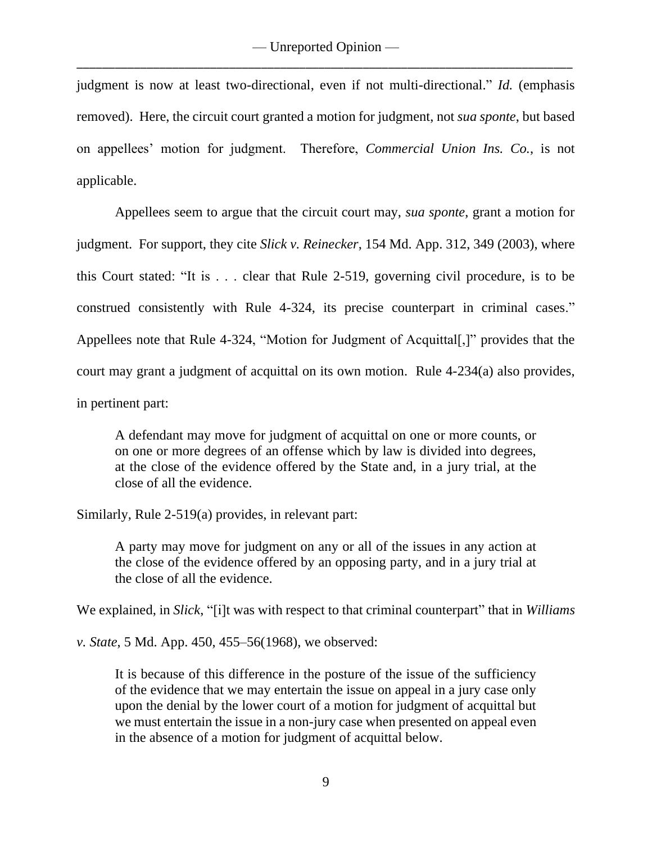judgment is now at least two-directional, even if not multi-directional." *Id.* (emphasis removed). Here, the circuit court granted a motion for judgment, not *sua sponte*, but based on appellees' motion for judgment. Therefore, *Commercial Union Ins. Co.*, is not applicable.

Appellees seem to argue that the circuit court may, *sua sponte*, grant a motion for judgment. For support, they cite *Slick v. Reinecker*, 154 Md. App. 312, 349 (2003), where this Court stated: "It is . . . clear that Rule 2-519, governing civil procedure, is to be construed consistently with Rule 4-324, its precise counterpart in criminal cases." Appellees note that Rule 4-324, "Motion for Judgment of Acquittal[,]" provides that the court may grant a judgment of acquittal on its own motion. Rule 4-234(a) also provides, in pertinent part:

A defendant may move for judgment of acquittal on one or more counts, or on one or more degrees of an offense which by law is divided into degrees, at the close of the evidence offered by the State and, in a jury trial, at the close of all the evidence.

Similarly, Rule 2-519(a) provides, in relevant part:

A party may move for judgment on any or all of the issues in any action at the close of the evidence offered by an opposing party, and in a jury trial at the close of all the evidence.

We explained, in *Slick*, "[i]t was with respect to that criminal counterpart" that in *Williams* 

*v. State*, 5 Md. App. 450, 455–56(1968), we observed:

It is because of this difference in the posture of the issue of the sufficiency of the evidence that we may entertain the issue on appeal in a jury case only upon the denial by the lower court of a motion for judgment of acquittal but we must entertain the issue in a non-jury case when presented on appeal even in the absence of a motion for judgment of acquittal below.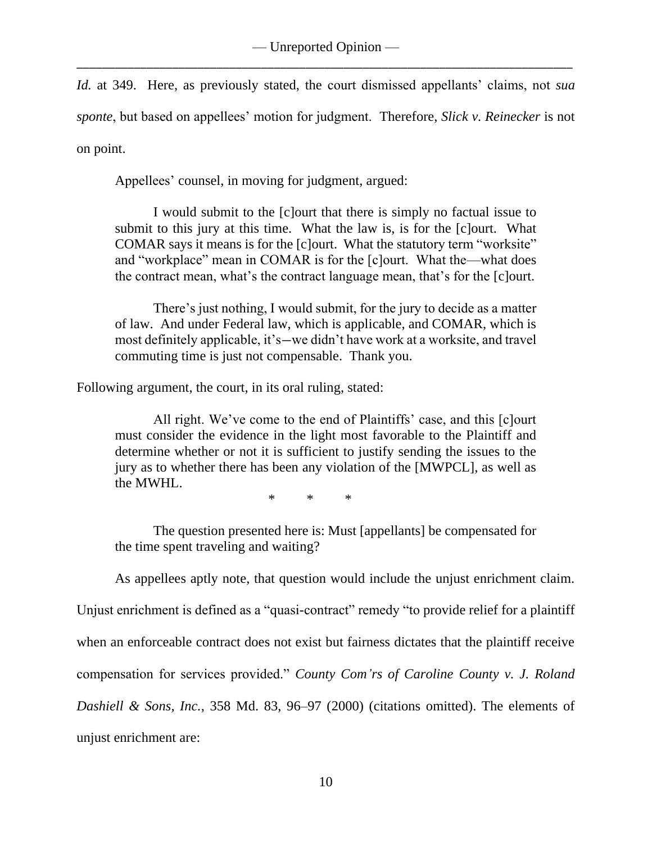*Id.* at 349. Here, as previously stated, the court dismissed appellants' claims, not *sua sponte*, but based on appellees' motion for judgment. Therefore, *Slick v. Reinecker* is not on point.

Appellees' counsel, in moving for judgment, argued:

I would submit to the [c]ourt that there is simply no factual issue to submit to this jury at this time. What the law is, is for the [c]ourt. What COMAR says it means is for the [c]ourt. What the statutory term "worksite" and "workplace" mean in COMAR is for the [c]ourt. What the—what does the contract mean, what's the contract language mean, that's for the [c]ourt.

There's just nothing, I would submit, for the jury to decide as a matter of law. And under Federal law, which is applicable, and COMAR, which is most definitely applicable, it's—we didn't have work at a worksite, and travel commuting time is just not compensable. Thank you.

Following argument, the court, in its oral ruling, stated:

All right. We've come to the end of Plaintiffs' case, and this [c]ourt must consider the evidence in the light most favorable to the Plaintiff and determine whether or not it is sufficient to justify sending the issues to the jury as to whether there has been any violation of the [MWPCL], as well as the MWHL.

\* \* \*

The question presented here is: Must [appellants] be compensated for the time spent traveling and waiting?

As appellees aptly note, that question would include the unjust enrichment claim.

Unjust enrichment is defined as a "quasi-contract" remedy "to provide relief for a plaintiff when an enforceable contract does not exist but fairness dictates that the plaintiff receive compensation for services provided." *County Com'rs of Caroline County v. J. Roland Dashiell & Sons, Inc.*, 358 Md. 83, 96–97 (2000) (citations omitted). The elements of unjust enrichment are: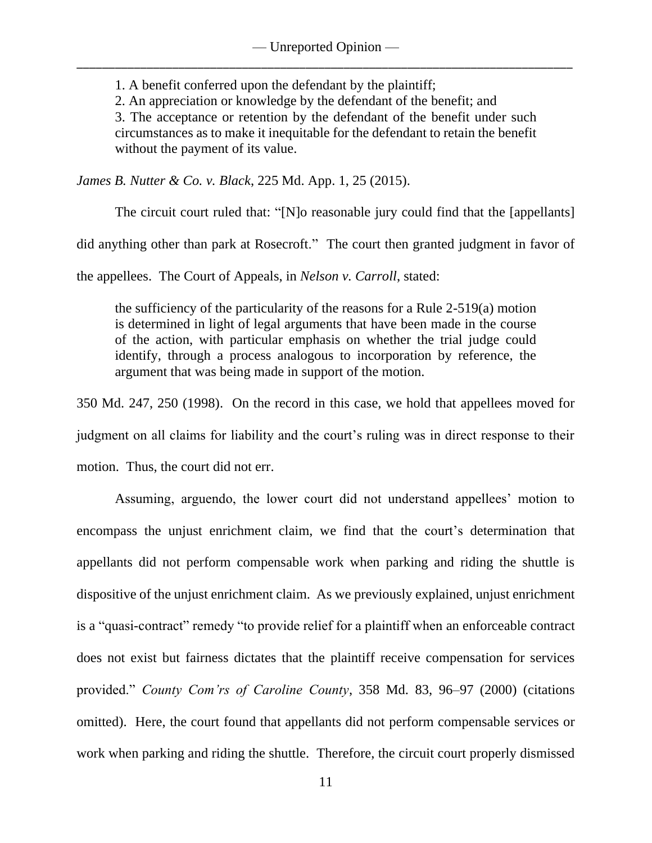1. A benefit conferred upon the defendant by the plaintiff;

2. An appreciation or knowledge by the defendant of the benefit; and

3. The acceptance or retention by the defendant of the benefit under such circumstances as to make it inequitable for the defendant to retain the benefit without the payment of its value.

*James B. Nutter & Co. v. Black*, 225 Md. App. 1, 25 (2015).

The circuit court ruled that: "[N]o reasonable jury could find that the [appellants]

did anything other than park at Rosecroft." The court then granted judgment in favor of

the appellees. The Court of Appeals, in *Nelson v. Carroll*, stated:

the sufficiency of the particularity of the reasons for a Rule 2-519(a) motion is determined in light of legal arguments that have been made in the course of the action, with particular emphasis on whether the trial judge could identify, through a process analogous to incorporation by reference, the argument that was being made in support of the motion.

350 Md. 247, 250 (1998). On the record in this case, we hold that appellees moved for judgment on all claims for liability and the court's ruling was in direct response to their motion. Thus, the court did not err.

Assuming, arguendo, the lower court did not understand appellees' motion to encompass the unjust enrichment claim, we find that the court's determination that appellants did not perform compensable work when parking and riding the shuttle is dispositive of the unjust enrichment claim. As we previously explained, unjust enrichment is a "quasi-contract" remedy "to provide relief for a plaintiff when an enforceable contract does not exist but fairness dictates that the plaintiff receive compensation for services provided." *County Com'rs of Caroline County*, 358 Md. 83, 96–97 (2000) (citations omitted). Here, the court found that appellants did not perform compensable services or work when parking and riding the shuttle. Therefore, the circuit court properly dismissed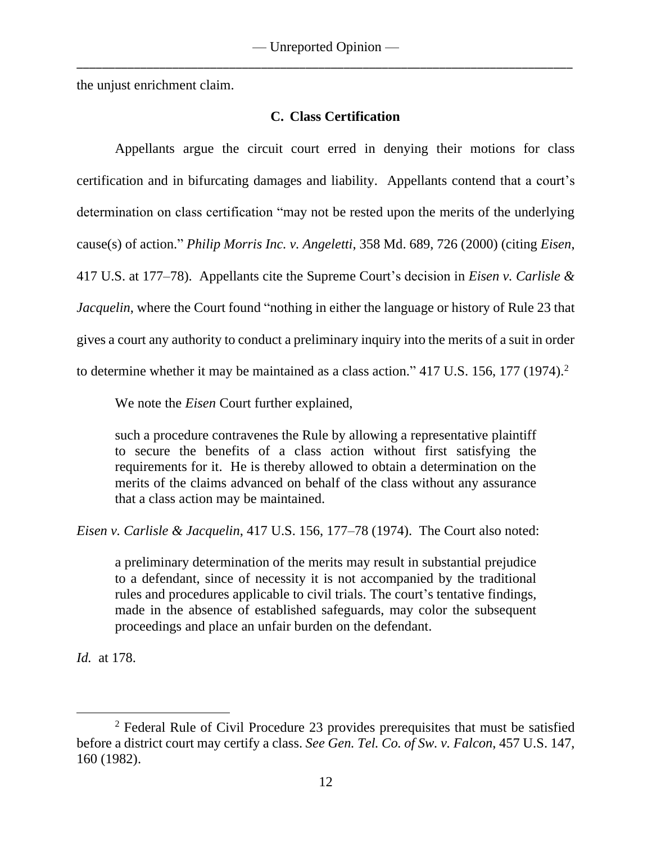the unjust enrichment claim.

# **C. Class Certification**

Appellants argue the circuit court erred in denying their motions for class certification and in bifurcating damages and liability. Appellants contend that a court's determination on class certification "may not be rested upon the merits of the underlying cause(s) of action." *Philip Morris Inc. v. Angeletti*, 358 Md. 689, 726 (2000) (citing *Eisen*, 417 U.S. at 177–78). Appellants cite the Supreme Court's decision in *Eisen v. Carlisle & Jacquelin*, where the Court found "nothing in either the language or history of Rule 23 that gives a court any authority to conduct a preliminary inquiry into the merits of a suit in order to determine whether it may be maintained as a class action." 417 U.S. 156, 177 (1974).<sup>2</sup>

We note the *Eisen* Court further explained,

such a procedure contravenes the Rule by allowing a representative plaintiff to secure the benefits of a class action without first satisfying the requirements for it. He is thereby allowed to obtain a determination on the merits of the claims advanced on behalf of the class without any assurance that a class action may be maintained.

*Eisen v. Carlisle & Jacquelin*, 417 U.S. 156, 177–78 (1974). The Court also noted:

a preliminary determination of the merits may result in substantial prejudice to a defendant, since of necessity it is not accompanied by the traditional rules and procedures applicable to civil trials. The court's tentative findings, made in the absence of established safeguards, may color the subsequent proceedings and place an unfair burden on the defendant.

*Id.* at 178.

<sup>2</sup> Federal Rule of Civil Procedure 23 provides prerequisites that must be satisfied before a district court may certify a class. *See Gen. Tel. Co. of Sw. v. Falcon*, 457 U.S. 147, 160 (1982).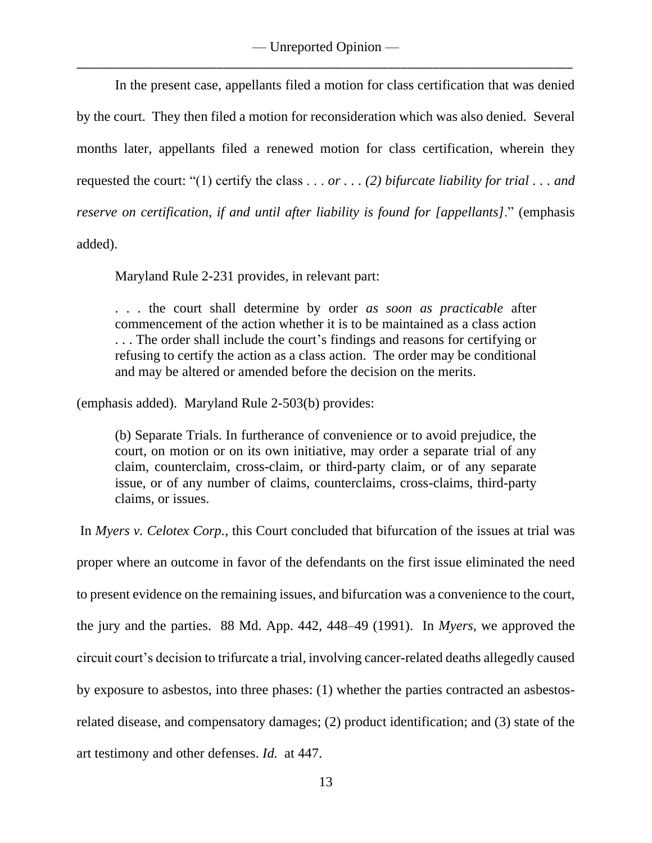In the present case, appellants filed a motion for class certification that was denied by the court. They then filed a motion for reconsideration which was also denied. Several months later, appellants filed a renewed motion for class certification, wherein they requested the court: "(1) certify the class . . . *or . . . (2) bifurcate liability for trial . . . and reserve on certification, if and until after liability is found for [appellants]*." (emphasis added).

Maryland Rule 2-231 provides, in relevant part:

. . . the court shall determine by order *as soon as practicable* after commencement of the action whether it is to be maintained as a class action . . . The order shall include the court's findings and reasons for certifying or refusing to certify the action as a class action. The order may be conditional and may be altered or amended before the decision on the merits.

(emphasis added). Maryland Rule 2-503(b) provides:

(b) Separate Trials. In furtherance of convenience or to avoid prejudice, the court, on motion or on its own initiative, may order a separate trial of any claim, counterclaim, cross-claim, or third-party claim, or of any separate issue, or of any number of claims, counterclaims, cross-claims, third-party claims, or issues.

In *Myers v. Celotex Corp.*, this Court concluded that bifurcation of the issues at trial was proper where an outcome in favor of the defendants on the first issue eliminated the need to present evidence on the remaining issues, and bifurcation was a convenience to the court, the jury and the parties. 88 Md. App. 442, 448–49 (1991). In *Myers*, we approved the circuit court's decision to trifurcate a trial, involving cancer-related deaths allegedly caused by exposure to asbestos, into three phases: (1) whether the parties contracted an asbestosrelated disease, and compensatory damages; (2) product identification; and (3) state of the art testimony and other defenses. *Id.* at 447.